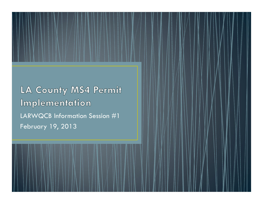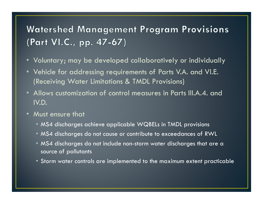## **Watershed Management Program Provisions** (Part VI.C., pp. 47-67)

- Voluntary; may be developed collaboratively or individually
- Vehicle for addressing requirements of Parts V.A. and VI.E. (Receiving Water Limitations & TMDL Provisions)
- Allows customization of control measures in Parts III.A.4. and IV.D.
- Must ensure that
	- MS4 discharges achieve applicable WQBELs in TMDL provisions
	- MS4 discharges do not cause or contribute to exceedances of RWL
	- MS4 discharges do not include non-storm water discharges that are a source of pollutants
	- Storm water controls are implemented to the maximum extent practicable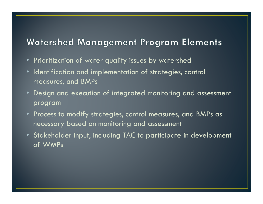### **Watershed Management Program Elements**

- Prioritization of water quality issues by watershed
- Identification and implementation of strategies, control measures, and BMPs
- Design and execution of integrated monitoring and assessment program
- Process to modify strategies, control measures, and BMPs as necessary based on monitoring and assessment
- Stakeholder input, including TAC to participate in development of WMPs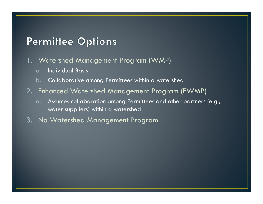### **Permittee Options**

- 1. Watershed Management Program (WMP)
	- a.Individual Basis
	- b.Collaborative among Permittees within a watershed
- 2. Enhanced Watershed Management Program (EWMP)
	- a. Assumes collaboration among Permittees and other partners (e.g., water suppliers) within a watershed
- 3. No Watershed Management Program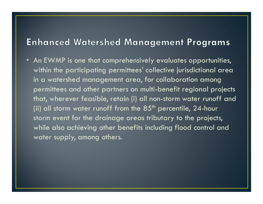### **Enhanced Watershed Management Programs**

 $\bullet~$  An EWMP is one that comprehensively evaluates opportunities, within the participating permittees' collective jurisdictional area in a watershed management area, for collaboration among permittees and other partners on multi-benefit regional projectsthat, wherever feasible, retain (i) all non-storm water runoff and (ii) all storm water runoff from the  $85<sup>th</sup>$  percentile, 24-hour storm event for the drainage areas tributary to the projects, while also achieving other benefits including flood control and water supply, among others.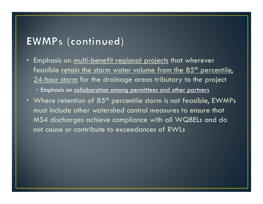### **EWMPs (continued)**

- Emphasis on <u>multi-benefit regional projects</u> that wherever<br>feasible retain the storm water volume from the 85<sup>th</sup> perce feasible <u>retain the storm water volume from the 85<sup>th</sup> percentile,</u> 24-hour storm for the drainage areas tributary to the project
	- Emphasis on collaboration among permittees and other partners
- Where retention of  $85^{\mathsf{th}}$  percentile storm is not feasible, EWMPs must include other watershed control measures to ensure that MS4 discharges achieve compliance with all WQBELs and do not cause or contribute to exceedances of RWLs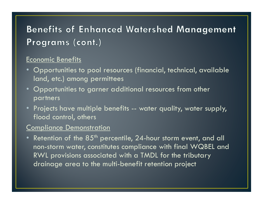# **Benefits of Enhanced Watershed Management** Programs (cont.)

#### Economic Benefits

- Opportunities to pool resources (financial, technical, available land, etc.) among permittees
- Opportunities to garner additional resources from other partners
- Projects have multiple benefits -- water quality, water supply,<br>flood control, others flood control, others

#### Compliance Demonstration

• Retention of the  $85^{\rm th}$  percentile,  $24$ -hour storm event, and all non-storm water, constitutes compliance with final WQBEL andRWL provisions associated with a TMDL for the tributary drainage area to the multi-benefit retention project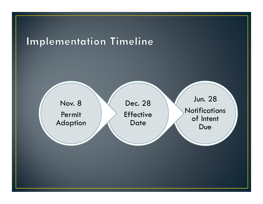# Implementation Timeline

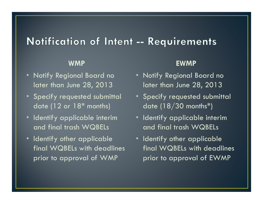### Notification of Intent -- Requirements

#### WMP

- Notify Regional Board no later than June 28, 2013
- Specify requested submittal date (12 or  $18<sup>*</sup>$  months)
- Identify applicable interim and final trash WQBELs
- Identify other applicable final WQBELs with deadlines prior to approval of WMP

#### EWMP

- Notify Regional Board no later than June 28, 2013
- Specify requested submittal date  $(18/30 \text{ months*})$
- Identify applicable interim and final trash WQBELs
- Identify other applicable final WQBELs with deadlines prior to approval of EWMP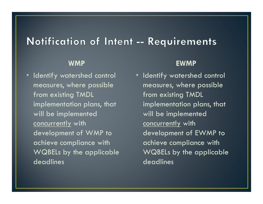### Notification of Intent -- Requirements

#### WMP

• Identify watershed control measures, where possible from existing TMDL implementation plans, that will be implemented concurrently with development of WMP to achieve compliance with WQBELs by the applicable deadlines

#### EWMP

• Identify watershed control measures, where possible from existing TMDL implementation plans, that will be implemented concurrently with development of EWMP to achieve compliance with WQBELs by the applicable deadlines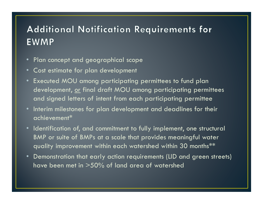## **Additional Notification Requirements for EWMP**

- Plan concept and geographical scope
- Cost estimate for plan development
- Executed MOU among participating permittees to fund plan development, or final draft MOU among participating permittees and signed letters of intent from each participating permittee
- Interim milestones for plan development and deadlines for their achievement\*
- Identification of, and commitment to fully implement, one structural BMP or suite of BMPs at a scale that provides meaningful water quality improvement within each watershed within 30 months\*\*
- Demonstration that early action requirements (LID and green streets) have been met in >50% of land area of watershed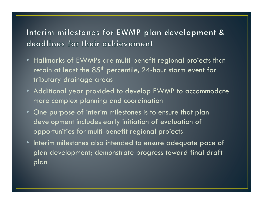### Interim milestones for EWMP plan development & deadlines for their achievement

- Hallmarks of EWMPs are multi-benefit regional projects that retain at least the  $85<sup>th</sup>$  percentile, 24-hour storm event for tributary drainage areas
- Additional year provided to develop EWMP to accommodate more complex planning and coordination
- One purpose of interim milestones is to ensure that plan development includes early initiation of evaluation of opportunities for multi-benefit regional projects
- Interim milestones also intended to ensure adequate pace of plan development; demonstrate progress toward final draft plan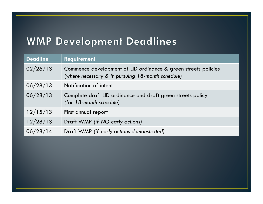# **WMP Development Deadlines**

| <b>Deadline</b> | Requirement                                                                                                         |
|-----------------|---------------------------------------------------------------------------------------------------------------------|
| 02/26/13        | Commence development of LID ordinance & green streets policies<br>(where necessary & if pursuing 18-month schedule) |
| 06/28/13        | Notification of intent                                                                                              |
| 06/28/13        | Complete draft LID ordinance and draft green streets policy<br>(for 18-month schedule)                              |
| 12/15/13        | First annual report                                                                                                 |
| 12/28/13        | Draft WMP (if NO early actions)                                                                                     |
| 06/28/14        | Draft WMP (if early actions demonstrated)                                                                           |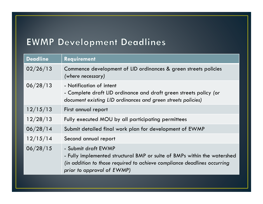## **EWMP Development Deadlines**

| <b>Deadline</b> | <b>Requirement</b>                                                                                                                                                                                        |
|-----------------|-----------------------------------------------------------------------------------------------------------------------------------------------------------------------------------------------------------|
| 02/26/13        | Commence development of LID ordinances & green streets policies<br>(where necessary)                                                                                                                      |
| 06/28/13        | - Notification of intent<br>- Complete draft LID ordinance and draft green streets policy (or<br>document existing LID ordinances and green streets policies)                                             |
| 12/15/13        | First annual report                                                                                                                                                                                       |
| 12/28/13        | Fully executed MOU by all participating permittees                                                                                                                                                        |
| 06/28/14        | Submit detailed final work plan for development of EWMP                                                                                                                                                   |
| 12/15/14        | Second annual report                                                                                                                                                                                      |
| 06/28/15        | - Submit draft EWMP<br>- Fully implemented structural BMP or suite of BMPs within the watershed<br>(in addition to those required to achieve compliance deadlines occurring<br>prior to approval of EWMP) |